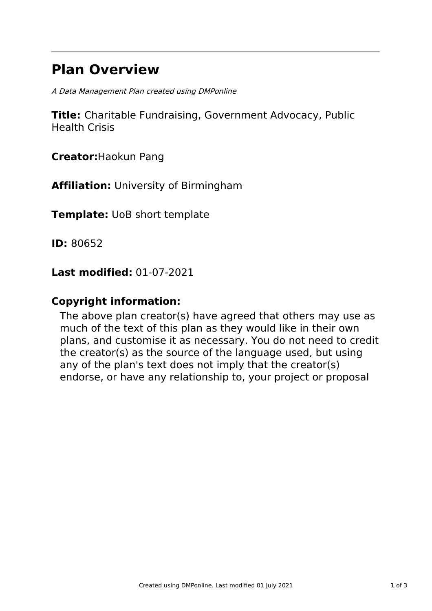# **Plan Overview**

A Data Management Plan created using DMPonline

**Title:** Charitable Fundraising, Government Advocacy, Public Health Crisis

**Creator:**Haokun Pang

**Affiliation:** University of Birmingham

**Template:** UoB short template

**ID:** 80652

**Last modified:** 01-07-2021

## **Copyright information:**

The above plan creator(s) have agreed that others may use as much of the text of this plan as they would like in their own plans, and customise it as necessary. You do not need to credit the creator(s) as the source of the language used, but using any of the plan's text does not imply that the creator(s) endorse, or have any relationship to, your project or proposal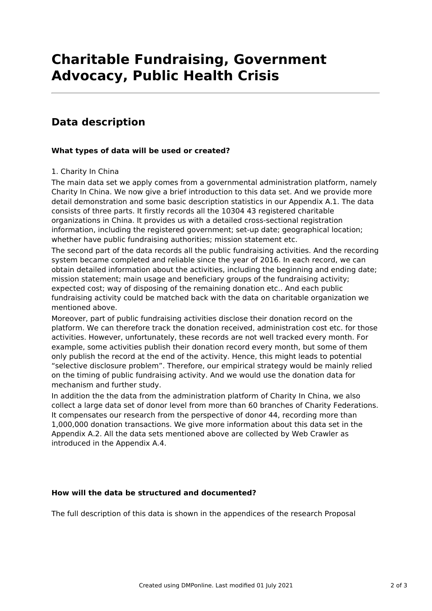# **Charitable Fundraising, Government Advocacy, Public Health Crisis**

### **Data description**

### **What types of data will be used or created?**

### 1. Charity In China

The main data set we apply comes from a governmental administration platform, namely Charity In China. We now give a brief introduction to this data set. And we provide more detail demonstration and some basic description statistics in our Appendix A.1. The data consists of three parts. It firstly records all the 10304 43 registered charitable organizations in China. It provides us with a detailed cross-sectional registration information, including the registered government; set-up date; geographical location; whether have public fundraising authorities; mission statement etc.

The second part of the data records all the public fundraising activities. And the recording system became completed and reliable since the year of 2016. In each record, we can obtain detailed information about the activities, including the beginning and ending date; mission statement; main usage and beneficiary groups of the fundraising activity; expected cost; way of disposing of the remaining donation etc.. And each public fundraising activity could be matched back with the data on charitable organization we mentioned above.

Moreover, part of public fundraising activities disclose their donation record on the platform. We can therefore track the donation received, administration cost etc. for those activities. However, unfortunately, these records are not well tracked every month. For example, some activities publish their donation record every month, but some of them only publish the record at the end of the activity. Hence, this might leads to potential "selective disclosure problem". Therefore, our empirical strategy would be mainly relied on the timing of public fundraising activity. And we would use the donation data for mechanism and further study.

In addition the the data from the administration platform of Charity In China, we also collect a large data set of donor level from more than 60 branches of Charity Federations. It compensates our research from the perspective of donor 44, recording more than 1,000,000 donation transactions. We give more information about this data set in the Appendix A.2. All the data sets mentioned above are collected by Web Crawler as introduced in the Appendix A.4.

### **How will the data be structured and documented?**

The full description of this data is shown in the appendices of the research Proposal